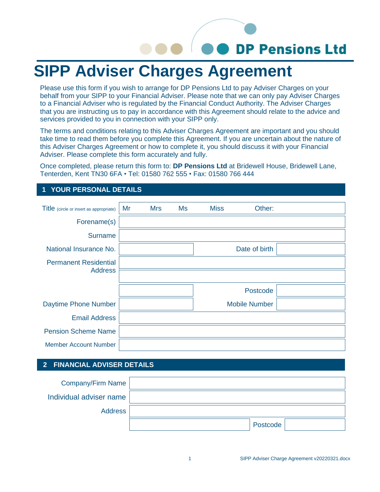# **DP Pensions Ltd**

## **SIPP Adviser Charges Agreement**

Please use this form if you wish to arrange for DP Pensions Ltd to pay Adviser Charges on your behalf from your SIPP to your Financial Adviser. Please note that we can only pay Adviser Charges to a Financial Adviser who is regulated by the Financial Conduct Authority. The Adviser Charges that you are instructing us to pay in accordance with this Agreement should relate to the advice and services provided to you in connection with your SIPP only.

The terms and conditions relating to this Adviser Charges Agreement are important and you should take time to read them before you complete this Agreement. If you are uncertain about the nature of this Adviser Charges Agreement or how to complete it, you should discuss it with your Financial Adviser. Please complete this form accurately and fully.

Once completed, please return this form to: **DP Pensions Ltd** at Bridewell House, Bridewell Lane, Tenterden, Kent TN30 6FA • Tel: 01580 762 555 • Fax: 01580 766 444

### **1 YOUR PERSONAL DETAILS**

| Title (circle or insert as appropriate) | Mr | <b>Mrs</b> | <b>Ms</b> | <b>Miss</b> | Other:               |  |
|-----------------------------------------|----|------------|-----------|-------------|----------------------|--|
| Forename(s)                             |    |            |           |             |                      |  |
| <b>Surname</b>                          |    |            |           |             |                      |  |
| National Insurance No.                  |    |            |           |             | Date of birth        |  |
| <b>Permanent Residential</b>            |    |            |           |             |                      |  |
| <b>Address</b>                          |    |            |           |             |                      |  |
|                                         |    |            |           |             | Postcode             |  |
| Daytime Phone Number                    |    |            |           |             | <b>Mobile Number</b> |  |
| <b>Email Address</b>                    |    |            |           |             |                      |  |
| <b>Pension Scheme Name</b>              |    |            |           |             |                      |  |
| <b>Member Account Number</b>            |    |            |           |             |                      |  |

#### **2 FINANCIAL ADVISER DETAILS**

| Company/Firm Name       |          |
|-------------------------|----------|
| Individual adviser name |          |
| Address                 |          |
|                         | Postcode |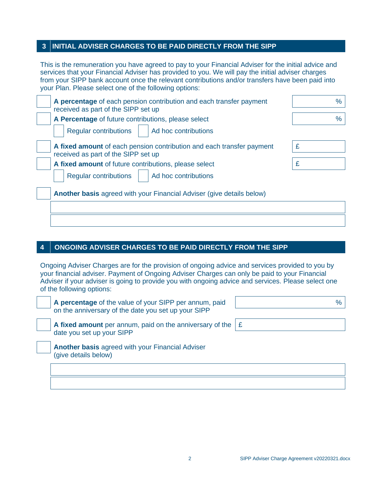#### **INI INI 3 TIAL ADVISER CHARGES TO BE PAID DIRECTLY FROM THE SIPP**

This is the remuneration you have agreed to pay to your Financial Adviser for the initial advice and services that your Financial Adviser has provided to you. We will pay the initial adviser charges from your SIPP bank account once the relevant contributions and/or transfers have been paid into your Plan. Please select one of the following options:

| A percentage of each pension contribution and each transfer payment<br>received as part of the SIPP set up   | $\frac{0}{0}$ |
|--------------------------------------------------------------------------------------------------------------|---------------|
| A Percentage of future contributions, please select                                                          | %             |
| <b>Regular contributions</b><br>Ad hoc contributions                                                         |               |
| A fixed amount of each pension contribution and each transfer payment<br>received as part of the SIPP set up | £             |
| A fixed amount of future contributions, please select                                                        | £             |
| <b>Regular contributions</b><br>Ad hoc contributions                                                         |               |
| Another basis agreed with your Financial Adviser (give details below)                                        |               |
|                                                                                                              |               |
|                                                                                                              |               |

#### **4O ONGOING ADVISER CHARGES TO BE PAID DIRECTLY FROM THE SIPP**

Ongoing Adviser Charges are for the provision of ongoing advice and services provided to you by your financial adviser. Payment of Ongoing Adviser Charges can only be paid to your Financial Adviser if your adviser is going to provide you with ongoing advice and services. Please select one of the following options:

**A percentage** of the value of your SIPP per annum, paid on the anniversary of the date you set up your SIPP



**A fixed amount** per annum, paid on the anniversary of the date you set up your SIPP



**Another basis** agreed with your Financial Adviser (give details below)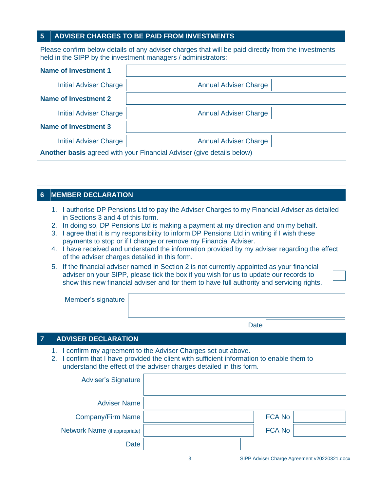#### **5 ADVISER CHARGES TO BE PAID FROM INVESTMENTS**

Please confirm below details of any adviser charges that will be paid directly from the investments held in the SIPP by the investment managers / administrators:

| <b>Name of Investment 1</b>                                                  |                              |  |  |
|------------------------------------------------------------------------------|------------------------------|--|--|
| Initial Adviser Charge                                                       | <b>Annual Adviser Charge</b> |  |  |
| <b>Name of Investment 2</b>                                                  |                              |  |  |
| <b>Initial Adviser Charge</b>                                                | <b>Annual Adviser Charge</b> |  |  |
| <b>Name of Investment 3</b>                                                  |                              |  |  |
| <b>Initial Adviser Charge</b>                                                | <b>Annual Adviser Charge</b> |  |  |
| <b>Another basis</b> agreed with your Financial Adviser (give details below) |                              |  |  |

#### **6M MEMBER DECLARATION**

- 1. I authorise DP Pensions Ltd to pay the Adviser Charges to my Financial Adviser as detailed in Sections 3 and 4 of this form.
- 2. In doing so, DP Pensions Ltd is making a payment at my direction and on my behalf.
- 3. I agree that it is my responsibility to inform DP Pensions Ltd in writing if I wish these payments to stop or if I change or remove my Financial Adviser.
- 4. I have received and understand the information provided by my adviser regarding the effect of the adviser charges detailed in this form.
- 5. If the financial adviser named in Section 2 is not currently appointed as your financial adviser on your SIPP, please tick the box if you wish for us to update our records to show this new financial adviser and for them to have full authority and servicing rights.

| Member's signature |      |  |
|--------------------|------|--|
|                    |      |  |
|                    | Date |  |

#### **7 ADVISER DECLARATION**

- 1. I confirm my agreement to the Adviser Charges set out above.
- 2. I confirm that I have provided the client with sufficient information to enable them to understand the effect of the adviser charges detailed in this form.

| <b>Adviser's Signature</b>    |               |  |
|-------------------------------|---------------|--|
| <b>Adviser Name</b>           |               |  |
| <b>Company/Firm Name</b>      | <b>FCA No</b> |  |
| Network Name (if appropriate) | <b>FCA No</b> |  |
| <b>Date</b>                   |               |  |